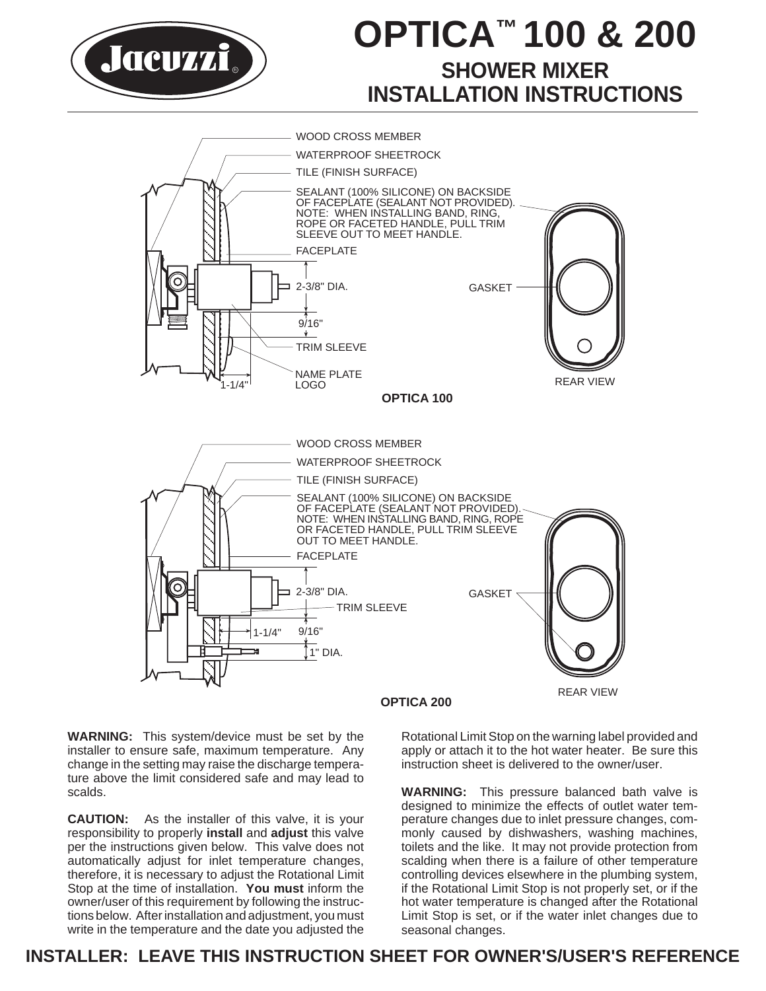

# **OPTICA™ 100 & 200 SHOWER MIXER INSTALLATION INSTRUCTIONS**



**WARNING:** This system/device must be set by the installer to ensure safe, maximum temperature. Any change in the setting may raise the discharge temperature above the limit considered safe and may lead to scalds.

**CAUTION:** As the installer of this valve, it is your responsibility to properly **install** and **adjust** this valve per the instructions given below. This valve does not automatically adjust for inlet temperature changes, therefore, it is necessary to adjust the Rotational Limit Stop at the time of installation. **You must** inform the owner/user of this requirement by following the instructions below. After installation and adjustment, you must write in the temperature and the date you adjusted the

Rotational Limit Stop on the warning label provided and apply or attach it to the hot water heater. Be sure this instruction sheet is delivered to the owner/user.

**WARNING:** This pressure balanced bath valve is designed to minimize the effects of outlet water temperature changes due to inlet pressure changes, commonly caused by dishwashers, washing machines, toilets and the like. It may not provide protection from scalding when there is a failure of other temperature controlling devices elsewhere in the plumbing system, if the Rotational Limit Stop is not properly set, or if the hot water temperature is changed after the Rotational Limit Stop is set, or if the water inlet changes due to seasonal changes.

## **INSTALLER: LEAVE THIS INSTRUCTION SHEET FOR OWNER'S/USER'S REFERENCE**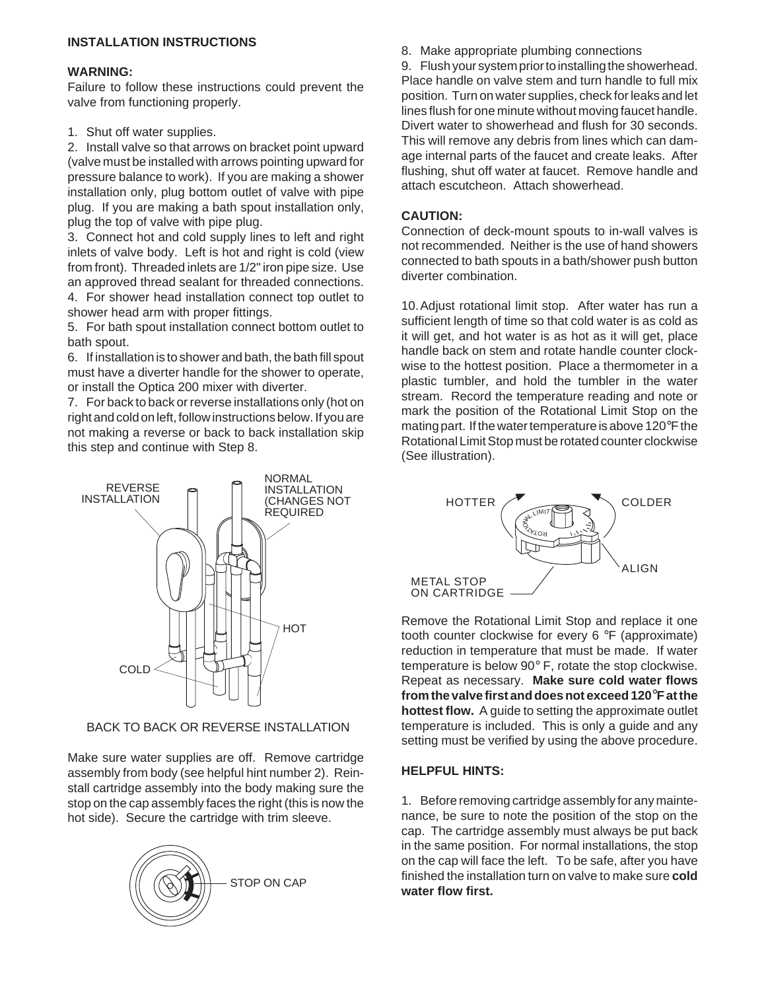#### **INSTALLATION INSTRUCTIONS**

#### **WARNING:**

Failure to follow these instructions could prevent the valve from functioning properly.

1. Shut off water supplies.

2. Install valve so that arrows on bracket point upward (valve must be installed with arrows pointing upward for pressure balance to work). If you are making a shower installation only, plug bottom outlet of valve with pipe plug. If you are making a bath spout installation only, plug the top of valve with pipe plug.

3. Connect hot and cold supply lines to left and right inlets of valve body. Left is hot and right is cold (view from front). Threaded inlets are 1/2" iron pipe size. Use an approved thread sealant for threaded connections.

4. For shower head installation connect top outlet to shower head arm with proper fittings.

5. For bath spout installation connect bottom outlet to bath spout.

6. If installation is to shower and bath, the bath fill spout must have a diverter handle for the shower to operate, or install the Optica 200 mixer with diverter.

7. For back to back or reverse installations only (hot on right and cold on left, follow instructions below. If you are not making a reverse or back to back installation skip this step and continue with Step 8.



BACK TO BACK OR REVERSE INSTALLATION

Make sure water supplies are off. Remove cartridge assembly from body (see helpful hint number 2). Reinstall cartridge assembly into the body making sure the stop on the cap assembly faces the right (this is now the hot side). Secure the cartridge with trim sleeve.



8. Make appropriate plumbing connections

9. Flush your system prior to installing the showerhead. Place handle on valve stem and turn handle to full mix position. Turn on water supplies, check for leaks and let lines flush for one minute without moving faucet handle. Divert water to showerhead and flush for 30 seconds. This will remove any debris from lines which can damage internal parts of the faucet and create leaks. After flushing, shut off water at faucet. Remove handle and attach escutcheon. Attach showerhead.

#### **CAUTION:**

Connection of deck-mount spouts to in-wall valves is not recommended. Neither is the use of hand showers connected to bath spouts in a bath/shower push button diverter combination.

10.Adjust rotational limit stop. After water has run a sufficient length of time so that cold water is as cold as it will get, and hot water is as hot as it will get, place handle back on stem and rotate handle counter clockwise to the hottest position. Place a thermometer in a plastic tumbler, and hold the tumbler in the water stream. Record the temperature reading and note or mark the position of the Rotational Limit Stop on the mating part. If the water temperature is above 120°F the Rotational Limit Stop must be rotated counter clockwise (See illustration).



Remove the Rotational Limit Stop and replace it one tooth counter clockwise for every 6 °F (approximate) reduction in temperature that must be made. If water temperature is below 90° F, rotate the stop clockwise. Repeat as necessary. **Make sure cold water flows from the valve first and does not exceed 120**°**F at the hottest flow.** A guide to setting the approximate outlet temperature is included. This is only a guide and any setting must be verified by using the above procedure.

#### **HELPFUL HINTS:**

1. Before removing cartridge assembly for any maintenance, be sure to note the position of the stop on the cap. The cartridge assembly must always be put back in the same position. For normal installations, the stop on the cap will face the left. To be safe, after you have finished the installation turn on valve to make sure **cold**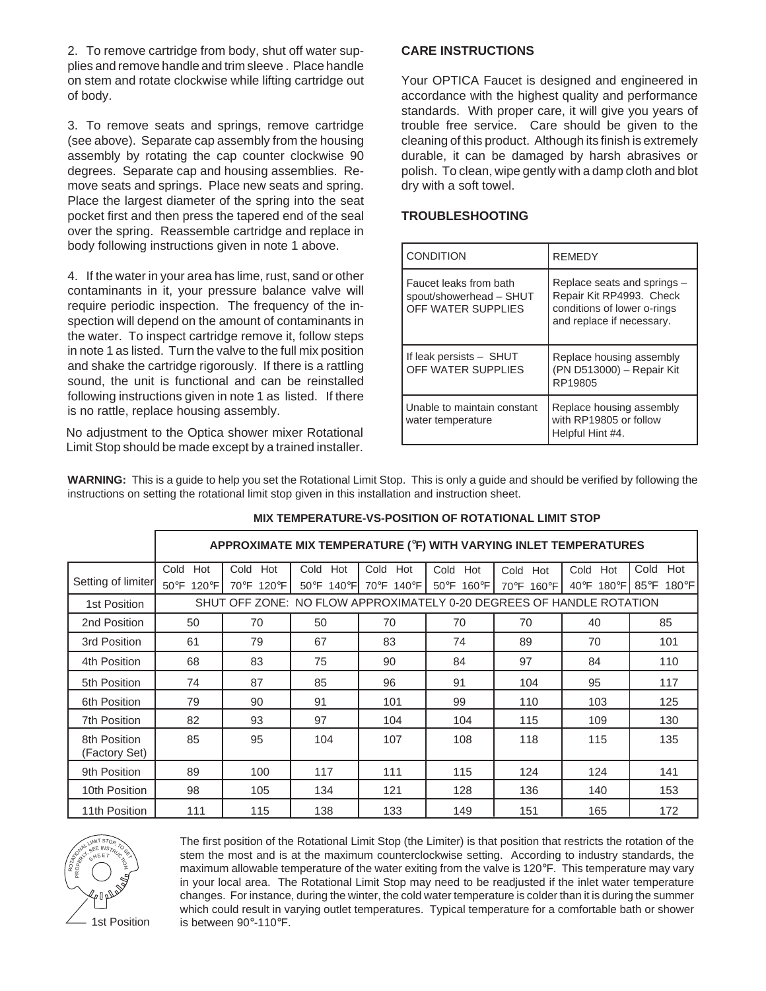2. To remove cartridge from body, shut off water supplies and remove handle and trim sleeve . Place handle on stem and rotate clockwise while lifting cartridge out of body.

3. To remove seats and springs, remove cartridge (see above). Separate cap assembly from the housing assembly by rotating the cap counter clockwise 90 degrees. Separate cap and housing assemblies. Remove seats and springs. Place new seats and spring. Place the largest diameter of the spring into the seat pocket first and then press the tapered end of the seal over the spring. Reassemble cartridge and replace in body following instructions given in note 1 above.

4. If the water in your area has lime, rust, sand or other contaminants in it, your pressure balance valve will require periodic inspection. The frequency of the inspection will depend on the amount of contaminants in the water. To inspect cartridge remove it, follow steps in note 1 as listed. Turn the valve to the full mix position and shake the cartridge rigorously. If there is a rattling sound, the unit is functional and can be reinstalled following instructions given in note 1 as listed. If there is no rattle, replace housing assembly.

No adjustment to the Optica shower mixer Rotational Limit Stop should be made except by a trained installer.

#### **CARE INSTRUCTIONS**

Your OPTICA Faucet is designed and engineered in accordance with the highest quality and performance standards. With proper care, it will give you years of trouble free service. Care should be given to the cleaning of this product. Although its finish is extremely durable, it can be damaged by harsh abrasives or polish. To clean, wipe gently with a damp cloth and blot dry with a soft towel.

#### **TROUBLESHOOTING**

| <b>CONDITION</b>                                                        | <b>REMEDY</b>                                                                                                       |
|-------------------------------------------------------------------------|---------------------------------------------------------------------------------------------------------------------|
| Faucet leaks from bath<br>spout/showerhead - SHUT<br>OFF WATER SUPPLIES | Replace seats and springs -<br>Repair Kit RP4993. Check<br>conditions of lower o-rings<br>and replace if necessary. |
| If leak persists - SHUT<br>OFF WATER SUPPLIES                           | Replace housing assembly<br>(PN D513000) - Repair Kit<br>RP19805                                                    |
| Unable to maintain constant<br>water temperature                        | Replace housing assembly<br>with RP19805 or follow<br>Helpful Hint #4.                                              |

**WARNING:** This is a guide to help you set the Rotational Limit Stop. This is only a guide and should be verified by following the instructions on setting the rotational limit stop given in this installation and instruction sheet.

|                               | APPROXIMATE MIX TEMPERATURE (°F) WITH VARYING INLET TEMPERATURES     |            |                                 |              |            |            |                                  |             |  |
|-------------------------------|----------------------------------------------------------------------|------------|---------------------------------|--------------|------------|------------|----------------------------------|-------------|--|
|                               | Cold<br>Hot                                                          | Cold Hot   | Cold Hot                        | Cold Hot     | Cold Hot   | Cold Hot   | Cold Hot                         | Hot<br>Cold |  |
| Setting of limiter            | 50°F 120°F                                                           | 70°F 120°F | $50^{\circ}$ F 140 $^{\circ}$ F | 70°F 140°F I | 50°F 160°F | 70°F 160°F | $40^{\circ}$ F 180 $^{\circ}$ FI | 85°F 180°F  |  |
| 1st Position                  | SHUT OFF ZONE: NO FLOW APPROXIMATELY 0-20 DEGREES OF HANDLE ROTATION |            |                                 |              |            |            |                                  |             |  |
| 2nd Position                  | 50                                                                   | 70         | 50                              | 70           | 70         | 70         | 40                               | 85          |  |
| 3rd Position                  | 61                                                                   | 79         | 67                              | 83           | 74         | 89         | 70                               | 101         |  |
| 4th Position                  | 68                                                                   | 83         | 75                              | 90           | 84         | 97         | 84                               | 110         |  |
| 5th Position                  | 74                                                                   | 87         | 85                              | 96           | 91         | 104        | 95                               | 117         |  |
| 6th Position                  | 79                                                                   | 90         | 91                              | 101          | 99         | 110        | 103                              | 125         |  |
| <b>7th Position</b>           | 82                                                                   | 93         | 97                              | 104          | 104        | 115        | 109                              | 130         |  |
| 8th Position<br>(Factory Set) | 85                                                                   | 95         | 104                             | 107          | 108        | 118        | 115                              | 135         |  |
| 9th Position                  | 89                                                                   | 100        | 117                             | 111          | 115        | 124        | 124                              | 141         |  |
| 10th Position                 | 98                                                                   | 105        | 134                             | 121          | 128        | 136        | 140                              | 153         |  |
| 11th Position                 | 111                                                                  | 115        | 138                             | 133          | 149        | 151        | 165                              | 172         |  |

#### **MIX TEMPERATURE-VS-POSITION OF ROTATIONAL LIMIT STOP**



The first position of the Rotational Limit Stop (the Limiter) is that position that restricts the rotation of the stem the most and is at the maximum counterclockwise setting. According to industry standards, the maximum allowable temperature of the water exiting from the valve is 120°F. This temperature may vary in your local area. The Rotational Limit Stop may need to be readjusted if the inlet water temperature changes. For instance, during the winter, the cold water temperature is colder than it is during the summer which could result in varying outlet temperatures. Typical temperature for a comfortable bath or shower 1st Position is between 90°-110°F.